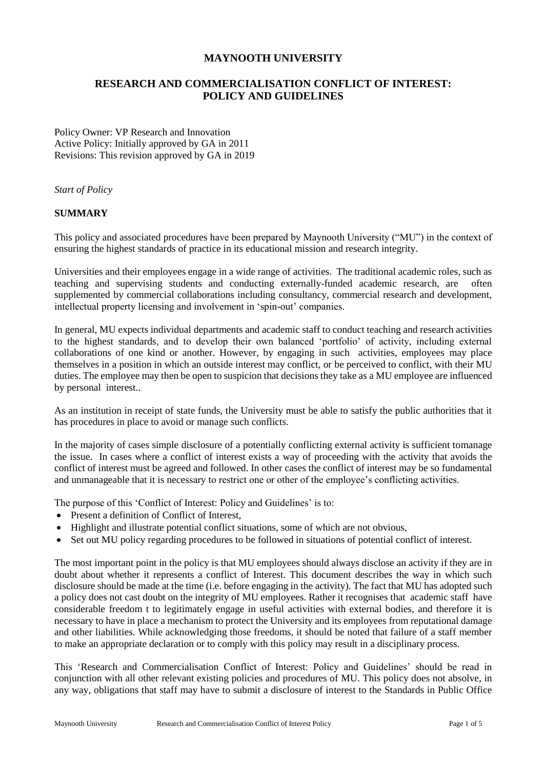## **MAYNOOTH UNIVERSITY**

# **RESEARCH AND COMMERCIALISATION CONFLICT OF INTEREST: POLICY AND GUIDELINES**

Policy Owner: VP Research and Innovation Active Policy: Initially approved by GA in 2011 Revisions: This revision approved by GA in 2019

*Start of Policy*

#### **SUMMARY**

This policy and associated procedures have been prepared by Maynooth University ("MU") in the context of ensuring the highest standards of practice in its educational mission and research integrity.

Universities and their employees engage in a wide range of activities. The traditional academic roles, such as teaching and supervising students and conducting externally-funded academic research, are often supplemented by commercial collaborations including consultancy, commercial research and development, intellectual property licensing and involvement in 'spin-out' companies.

In general, MU expects individual departments and academic staff to conduct teaching and research activities to the highest standards, and to develop their own balanced 'portfolio' of activity, including external collaborations of one kind or another. However, by engaging in such activities, employees may place themselves in a position in which an outside interest may conflict, or be perceived to conflict, with their MU duties. The employee may then be open to suspicion that decisions they take as a MU employee are influenced by personal interest..

As an institution in receipt of state funds, the University must be able to satisfy the public authorities that it has procedures in place to avoid or manage such conflicts.

In the majority of cases simple disclosure of a potentially conflicting external activity is sufficient tomanage the issue. In cases where a conflict of interest exists a way of proceeding with the activity that avoids the conflict of interest must be agreed and followed. In other cases the conflict of interest may be so fundamental and unmanageable that it is necessary to restrict one or other of the employee's conflicting activities.

The purpose of this 'Conflict of Interest: Policy and Guidelines' is to:

- Present a definition of Conflict of Interest.
- Highlight and illustrate potential conflict situations, some of which are not obvious,
- Set out MU policy regarding procedures to be followed in situations of potential conflict of interest.

The most important point in the policy is that MU employees should always disclose an activity if they are in doubt about whether it represents a conflict of Interest. This document describes the way in which such disclosure should be made at the time (i.e. before engaging in the activity). The fact that MU has adopted such a policy does not cast doubt on the integrity of MU employees. Rather it recognises that academic staff have considerable freedom t to legitimately engage in useful activities with external bodies, and therefore it is necessary to have in place a mechanism to protect the University and its employees from reputational damage and other liabilities. While acknowledging those freedoms, it should be noted that failure of a staff member to make an appropriate declaration or to comply with this policy may result in a disciplinary process.

This 'Research and Commercialisation Conflict of Interest: Policy and Guidelines' should be read in conjunction with all other relevant existing policies and procedures of MU. This policy does not absolve, in any way, obligations that staff may have to submit a disclosure of interest to the Standards in Public Office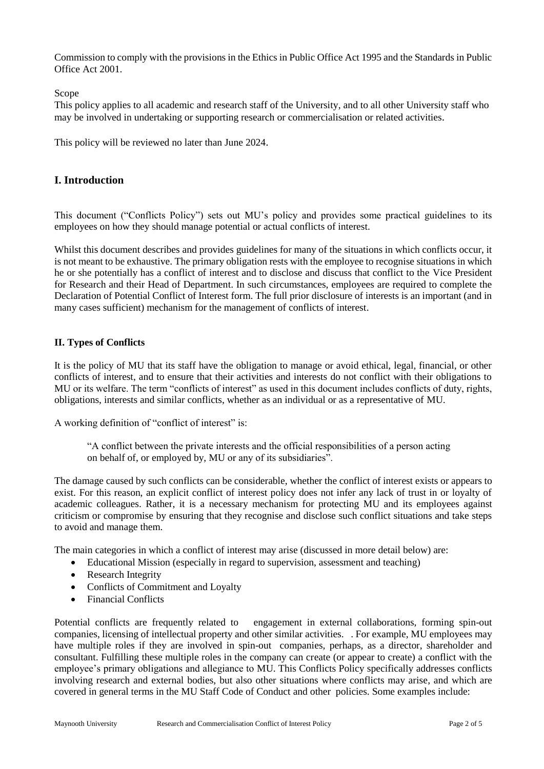Commission to comply with the provisions in the Ethics in Public Office Act 1995 and the Standards in Public Office Act 2001.

Scope

This policy applies to all academic and research staff of the University, and to all other University staff who may be involved in undertaking or supporting research or commercialisation or related activities.

This policy will be reviewed no later than June 2024.

## **I. Introduction**

This document ("Conflicts Policy") sets out MU's policy and provides some practical guidelines to its employees on how they should manage potential or actual conflicts of interest.

Whilst this document describes and provides guidelines for many of the situations in which conflicts occur, it is not meant to be exhaustive. The primary obligation rests with the employee to recognise situations in which he or she potentially has a conflict of interest and to disclose and discuss that conflict to the Vice President for Research and their Head of Department. In such circumstances, employees are required to complete the Declaration of Potential Conflict of Interest form. The full prior disclosure of interests is an important (and in many cases sufficient) mechanism for the management of conflicts of interest.

### **II. Types of Conflicts**

It is the policy of MU that its staff have the obligation to manage or avoid ethical, legal, financial, or other conflicts of interest, and to ensure that their activities and interests do not conflict with their obligations to MU or its welfare. The term "conflicts of interest" as used in this document includes conflicts of duty, rights, obligations, interests and similar conflicts, whether as an individual or as a representative of MU.

A working definition of "conflict of interest" is:

"A conflict between the private interests and the official responsibilities of a person acting on behalf of, or employed by, MU or any of its subsidiaries".

The damage caused by such conflicts can be considerable, whether the conflict of interest exists or appears to exist. For this reason, an explicit conflict of interest policy does not infer any lack of trust in or loyalty of academic colleagues. Rather, it is a necessary mechanism for protecting MU and its employees against criticism or compromise by ensuring that they recognise and disclose such conflict situations and take steps to avoid and manage them.

The main categories in which a conflict of interest may arise (discussed in more detail below) are:

- Educational Mission (especially in regard to supervision, assessment and teaching)
- Research Integrity
- Conflicts of Commitment and Loyalty
- Financial Conflicts

Potential conflicts are frequently related to engagement in external collaborations, forming spin-out companies, licensing of intellectual property and other similar activities. . For example, MU employees may have multiple roles if they are involved in spin-out companies, perhaps, as a director, shareholder and consultant. Fulfilling these multiple roles in the company can create (or appear to create) a conflict with the employee's primary obligations and allegiance to MU. This Conflicts Policy specifically addresses conflicts involving research and external bodies, but also other situations where conflicts may arise, and which are covered in general terms in the MU Staff Code of Conduct and other policies. Some examples include: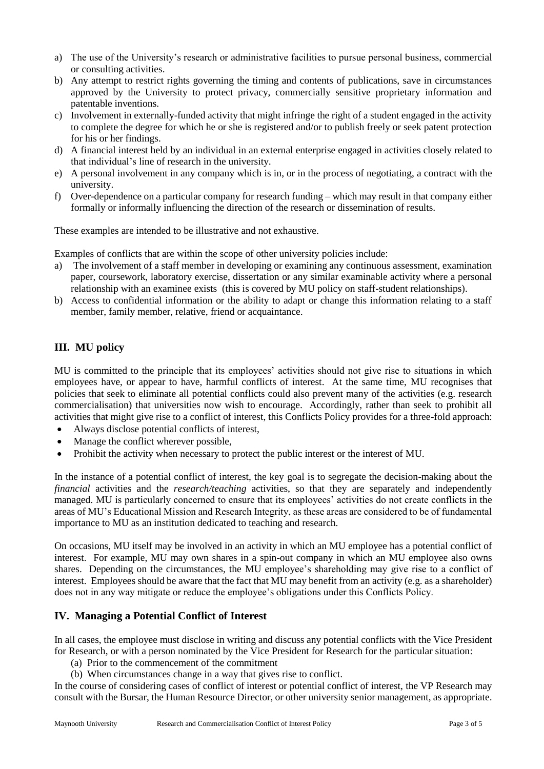- a) The use of the University's research or administrative facilities to pursue personal business, commercial or consulting activities.
- b) Any attempt to restrict rights governing the timing and contents of publications, save in circumstances approved by the University to protect privacy, commercially sensitive proprietary information and patentable inventions.
- c) Involvement in externally-funded activity that might infringe the right of a student engaged in the activity to complete the degree for which he or she is registered and/or to publish freely or seek patent protection for his or her findings.
- d) A financial interest held by an individual in an external enterprise engaged in activities closely related to that individual's line of research in the university.
- e) A personal involvement in any company which is in, or in the process of negotiating, a contract with the university.
- f) Over-dependence on a particular company for research funding which may result in that company either formally or informally influencing the direction of the research or dissemination of results.

These examples are intended to be illustrative and not exhaustive.

Examples of conflicts that are within the scope of other university policies include:

- a) The involvement of a staff member in developing or examining any continuous assessment, examination paper, coursework, laboratory exercise, dissertation or any similar examinable activity where a personal relationship with an examinee exists (this is covered by MU policy on staff-student relationships).
- b) Access to confidential information or the ability to adapt or change this information relating to a staff member, family member, relative, friend or acquaintance.

# **III. MU policy**

MU is committed to the principle that its employees' activities should not give rise to situations in which employees have, or appear to have, harmful conflicts of interest. At the same time, MU recognises that policies that seek to eliminate all potential conflicts could also prevent many of the activities (e.g. research commercialisation) that universities now wish to encourage. Accordingly, rather than seek to prohibit all activities that might give rise to a conflict of interest, this Conflicts Policy provides for a three-fold approach:

- Always disclose potential conflicts of interest,
- Manage the conflict wherever possible,
- Prohibit the activity when necessary to protect the public interest or the interest of MU.

In the instance of a potential conflict of interest, the key goal is to segregate the decision-making about the *financial* activities and the *research/teaching* activities, so that they are separately and independently managed. MU is particularly concerned to ensure that its employees' activities do not create conflicts in the areas of MU's Educational Mission and Research Integrity, as these areas are considered to be of fundamental importance to MU as an institution dedicated to teaching and research.

On occasions, MU itself may be involved in an activity in which an MU employee has a potential conflict of interest. For example, MU may own shares in a spin-out company in which an MU employee also owns shares. Depending on the circumstances, the MU employee's shareholding may give rise to a conflict of interest. Employees should be aware that the fact that MU may benefit from an activity (e.g. as a shareholder) does not in any way mitigate or reduce the employee's obligations under this Conflicts Policy.

## **IV. Managing a Potential Conflict of Interest**

In all cases, the employee must disclose in writing and discuss any potential conflicts with the Vice President for Research, or with a person nominated by the Vice President for Research for the particular situation:

- (a) Prior to the commencement of the commitment
- (b) When circumstances change in a way that gives rise to conflict.

In the course of considering cases of conflict of interest or potential conflict of interest, the VP Research may consult with the Bursar, the Human Resource Director, or other university senior management, as appropriate.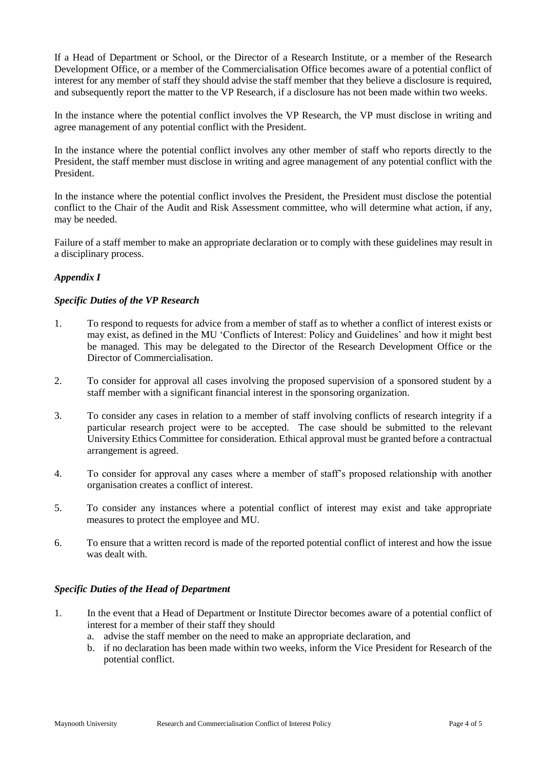If a Head of Department or School, or the Director of a Research Institute, or a member of the Research Development Office, or a member of the Commercialisation Office becomes aware of a potential conflict of interest for any member of staff they should advise the staff member that they believe a disclosure is required, and subsequently report the matter to the VP Research, if a disclosure has not been made within two weeks.

In the instance where the potential conflict involves the VP Research, the VP must disclose in writing and agree management of any potential conflict with the President.

In the instance where the potential conflict involves any other member of staff who reports directly to the President, the staff member must disclose in writing and agree management of any potential conflict with the President.

In the instance where the potential conflict involves the President, the President must disclose the potential conflict to the Chair of the Audit and Risk Assessment committee, who will determine what action, if any, may be needed.

Failure of a staff member to make an appropriate declaration or to comply with these guidelines may result in a disciplinary process.

## *Appendix I*

### *Specific Duties of the VP Research*

- 1. To respond to requests for advice from a member of staff as to whether a conflict of interest exists or may exist, as defined in the MU 'Conflicts of Interest: Policy and Guidelines' and how it might best be managed. This may be delegated to the Director of the Research Development Office or the Director of Commercialisation.
- 2. To consider for approval all cases involving the proposed supervision of a sponsored student by a staff member with a significant financial interest in the sponsoring organization.
- 3. To consider any cases in relation to a member of staff involving conflicts of research integrity if a particular research project were to be accepted. The case should be submitted to the relevant University Ethics Committee for consideration. Ethical approval must be granted before a contractual arrangement is agreed.
- 4. To consider for approval any cases where a member of staff's proposed relationship with another organisation creates a conflict of interest.
- 5. To consider any instances where a potential conflict of interest may exist and take appropriate measures to protect the employee and MU.
- 6. To ensure that a written record is made of the reported potential conflict of interest and how the issue was dealt with.

### *Specific Duties of the Head of Department*

- 1. In the event that a Head of Department or Institute Director becomes aware of a potential conflict of interest for a member of their staff they should
	- a. advise the staff member on the need to make an appropriate declaration, and
	- b. if no declaration has been made within two weeks, inform the Vice President for Research of the potential conflict.